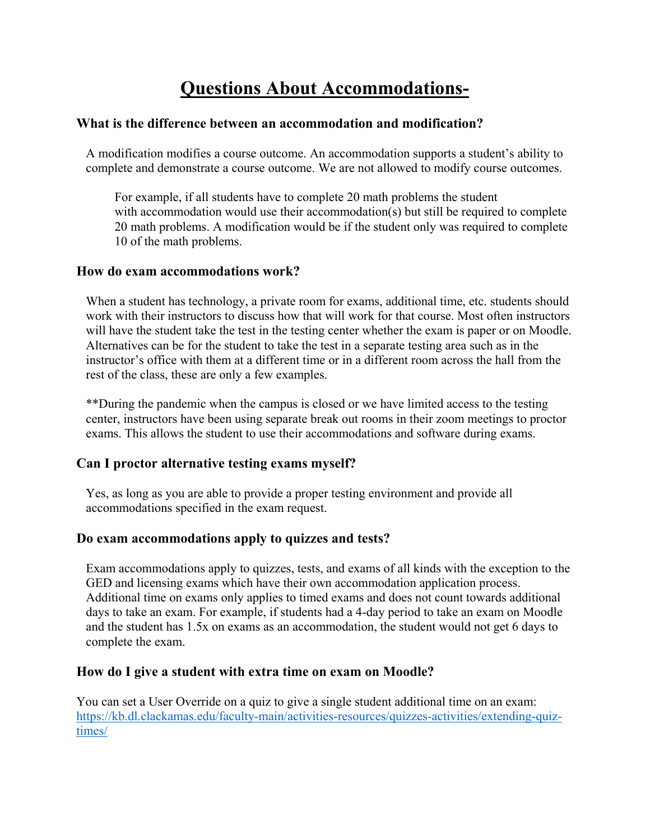# **Questions About Accommodations-**

### **What is the difference between an accommodation and modification?**

A modification modifies a course outcome. An accommodation supports a student's ability to complete and demonstrate a course outcome. We are not allowed to modify course outcomes.

For example, if all students have to complete 20 math problems the student with accommodation would use their accommodation(s) but still be required to complete 20 math problems. A modification would be if the student only was required to complete 10 of the math problems.

#### **How do exam accommodations work?**

When a student has technology, a private room for exams, additional time, etc. students should work with their instructors to discuss how that will work for that course. Most often instructors will have the student take the test in the testing center whether the exam is paper or on Moodle. Alternatives can be for the student to take the test in a separate testing area such as in the instructor's office with them at a different time or in a different room across the hall from the rest of the class, these are only a few examples.

\*\*During the pandemic when the campus is closed or we have limited access to the testing center, instructors have been using separate break out rooms in their zoom meetings to proctor exams. This allows the student to use their accommodations and software during exams.

### **Can I proctor alternative testing exams myself?**

Yes, as long as you are able to provide a proper testing environment and provide all accommodations specified in the exam request.

### **Do exam accommodations apply to quizzes and tests?**

Exam accommodations apply to quizzes, tests, and exams of all kinds with the exception to the GED and licensing exams which have their own accommodation application process. Additional time on exams only applies to timed exams and does not count towards additional days to take an exam. For example, if students had a 4-day period to take an exam on Moodle and the student has 1.5x on exams as an accommodation, the student would not get 6 days to complete the exam.

### **How do I give a student with extra time on exam on Moodle?**

You can set a User Override on a quiz to give a single student additional time on an exam: [https://kb.dl.clackamas.edu/faculty-main/activities-resources/quizzes-activities/extending-quiz](https://kb.dl.clackamas.edu/faculty-main/activities-resources/quizzes-activities/extending-quiz-times/)[times/](https://kb.dl.clackamas.edu/faculty-main/activities-resources/quizzes-activities/extending-quiz-times/)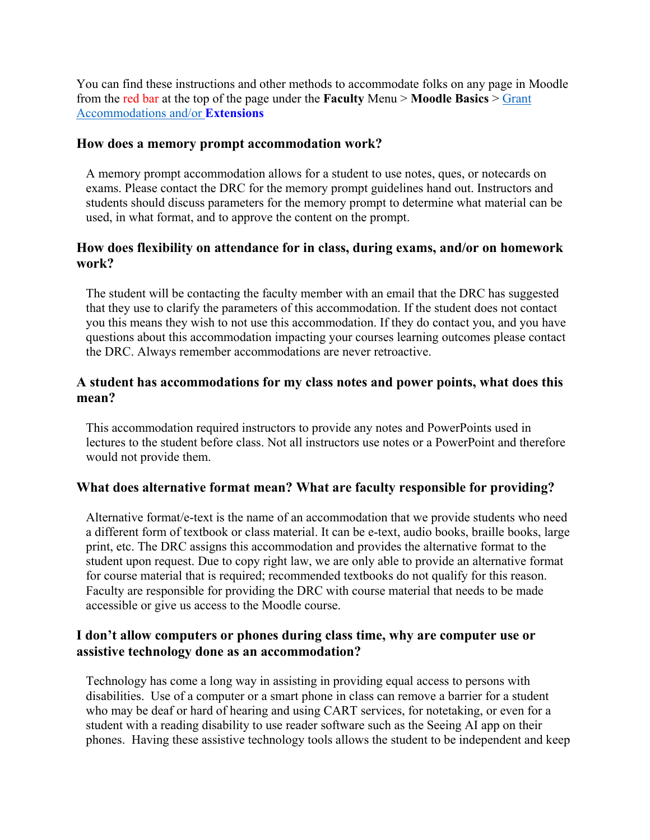You can find these instructions and other methods to accommodate folks on any page in Moodle from the red bar at the top of the page under the **Faculty** Menu > **Moodle Basics** > [Grant](https://kb.dl.clackamas.edu/category/faculty-main/disability-accomodations/)  [Accommodations and/or](https://kb.dl.clackamas.edu/category/faculty-main/disability-accomodations/) **Extensions** 

#### **How does a memory prompt accommodation work?**

A memory prompt accommodation allows for a student to use notes, ques, or notecards on exams. Please contact the DRC for the memory prompt guidelines hand out. Instructors and students should discuss parameters for the memory prompt to determine what material can be used, in what format, and to approve the content on the prompt.

## **How does flexibility on attendance for in class, during exams, and/or on homework work?**

The student will be contacting the faculty member with an email that the DRC has suggested that they use to clarify the parameters of this accommodation. If the student does not contact you this means they wish to not use this accommodation. If they do contact you, and you have questions about this accommodation impacting your courses learning outcomes please contact the DRC. Always remember accommodations are never retroactive.

## **A student has accommodations for my class notes and power points, what does this mean?**

This accommodation required instructors to provide any notes and PowerPoints used in lectures to the student before class. Not all instructors use notes or a PowerPoint and therefore would not provide them.

### **What does alternative format mean? What are faculty responsible for providing?**

Alternative format/e-text is the name of an accommodation that we provide students who need a different form of textbook or class material. It can be e-text, audio books, braille books, large print, etc. The DRC assigns this accommodation and provides the alternative format to the student upon request. Due to copy right law, we are only able to provide an alternative format for course material that is required; recommended textbooks do not qualify for this reason. Faculty are responsible for providing the DRC with course material that needs to be made accessible or give us access to the Moodle course.

## **I don't allow computers or phones during class time, why are computer use or assistive technology done as an accommodation?**

Technology has come a long way in assisting in providing equal access to persons with disabilities. Use of a computer or a smart phone in class can remove a barrier for a student who may be deaf or hard of hearing and using CART services, for notetaking, or even for a student with a reading disability to use reader software such as the Seeing AI app on their phones. Having these assistive technology tools allows the student to be independent and keep